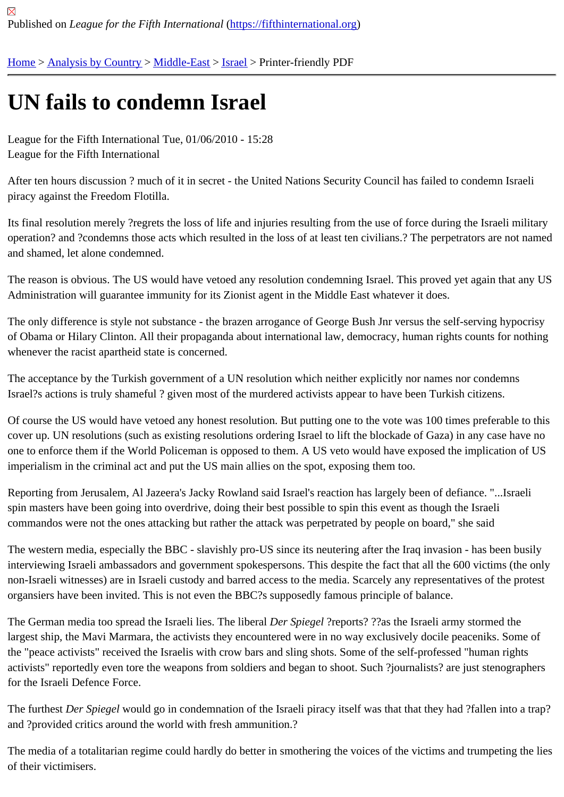## [UN](https://fifthinternational.org/) [fails to co](https://fifthinternational.org/category/1)[ndemn](https://fifthinternational.org/category/1/178) [Isra](https://fifthinternational.org/category/1/178/465)el

League for the Fifth International Tue, 01/06/2010 - 15:28 League for the Fifth International

After ten hours discussion ? much of it in secret - the United Nations Security Council has failed to condemn Israeli piracy against the Freedom Flotilla.

Its final resolution merely ?regrets the loss of life and injuries resulting from the use of force during the Israeli milita operation? and ?condemns those acts which resulted in the loss of at least ten civilians.? The perpetrators are not and shamed, let alone condemned.

The reason is obvious. The US would have vetoed any resolution condemning Israel. This proved yet again that an Administration will guarantee immunity for its Zionist agent in the Middle East whatever it does.

The only difference is style not substance - the brazen arrogance of George Bush Jnr versus the self-serving hypc of Obama or Hilary Clinton. All their propaganda about international law, democracy, human rights counts for noth whenever the racist apartheid state is concerned.

The acceptance by the Turkish government of a UN resolution which neither explicitly nor names nor condemns Israel?s actions is truly shameful ? given most of the murdered activists appear to have been Turkish citizens.

Of course the US would have vetoed any honest resolution. But putting one to the vote was 100 times preferable t cover up. UN resolutions (such as existing resolutions ordering Israel to lift the blockade of Gaza) in any case have one to enforce them if the World Policeman is opposed to them. A US veto would have exposed the implication of imperialism in the criminal act and put the US main allies on the spot, exposing them too.

Reporting from Jerusalem, Al Jazeera's Jacky Rowland said Israel's reaction has largely been of defiance. "...Israe spin masters have been going into overdrive, doing their best possible to spin this event as though the Israeli commandos were not the ones attacking but rather the attack was perpetrated by people on board," she said

The western media, especially the BBC - slavishly pro-US since its neutering after the Iraq invasion - has been bustle interviewing Israeli ambassadors and government spokespersons. This despite the fact that all the 600 victims (the non-Israeli witnesses) are in Israeli custody and barred access to the media. Scarcely any representatives of the p organsiers have been invited. This is not even the BBC?s supposedly famous principle of balance.

The German media too spread the Israeli lies. The li**DeraS**piegel?reports? ??as the Israeli army stormed the largest ship, the Mavi Marmara, the activists they encountered were in no way exclusively docile peaceniks. Some the "peace activists" received the Israelis with crow bars and sling shots. Some of the self-professed "human rights activists" reportedly even tore the weapons from soldiers and began to shoot. Such ?journalists? are just stenogra for the Israeli Defence Force.

The furthesDer Spiegelwould go in condemnation of the Israeli piracy itself was that that they had ?fallen into a tra and ?provided critics around the world with fresh ammunition.?

The media of a totalitarian regime could hardly do better in smothering the voices of the victims and trumpeting the of their victimisers.